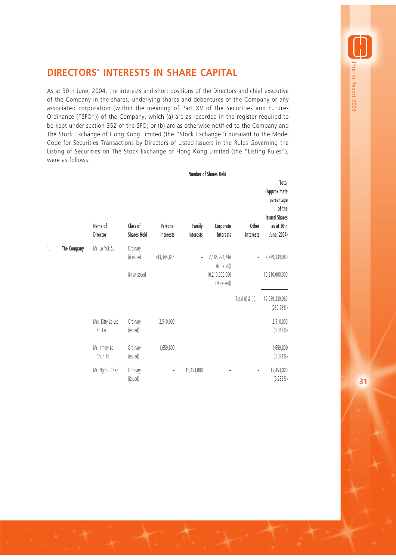## **DIRECTORS' INTERESTS IN SHARE CAPITAL**

As at 30th June, 2004, the interests and short positions of the Directors and chief executive of the Company in the shares, underlying shares and debentures of the Company or any associated corporation (within the meaning of Part XV of the Securities and Futures Ordinance ("SFO")) of the Company, which (a) are as recorded in the register required to be kept under section 352 of the SFO; or (b) are as otherwise notified to the Company and The Stock Exchange of Hong Kong Limited (the "Stock Exchange") pursuant to the Model Code for Securities Transactions by Directors of Listed Issuers in the Rules Governing the Listing of Securities on The Stock Exchange of Hong Kong Limited (the "Listing Rules"), were as follows:

|    |             | Name of<br>Director          | Class of<br><b>Shares Held</b> | Personal<br>Interests        | Family<br>Interests | Corporate<br>Interests         | Other<br>Interests           | Total<br>(Approximate<br>percentage<br>of the<br><b>Issued Shares</b><br>as at 30th<br>June, 2004) |
|----|-------------|------------------------------|--------------------------------|------------------------------|---------------------|--------------------------------|------------------------------|----------------------------------------------------------------------------------------------------|
| 1. | The Company | Mr. Lo Yuk Sui               | Ordinary                       |                              |                     |                                |                              |                                                                                                    |
|    |             |                              | (i) issued                     | 543,344,843                  | $\overline{a}$      | 2,185,994,246<br>(Note a(i))   | $\overline{\phantom{a}}$     | 2,729,339,089                                                                                      |
|    |             |                              | (ii) unissued                  |                              | $\qquad \qquad -$   | 10,210,000,000<br>(Note a(ii)) | $\overline{\phantom{a}}$     | 10,210,000,000                                                                                     |
|    |             |                              |                                |                              |                     |                                | Total (i) & (ii):            | 12,939,339,089<br>(239.76%)                                                                        |
|    |             | Mrs. Kitty Lo Lee<br>Kit Tai | Ordinary<br>(issued)           | 2,510,000                    |                     |                                | $\qquad \qquad \blacksquare$ | 2,510,000<br>(0.047%)                                                                              |
|    |             | Mr. Jimmy Lo<br>Chun To      | Ordinary<br>(issued)           | 1,659,800                    |                     |                                |                              | 1,659,800<br>$(0.031\%)$                                                                           |
|    |             | Mr. Ng Siu Chan              | Ordinary<br>(issued)           | $\qquad \qquad \blacksquare$ | 15,453,000          |                                | $\qquad \qquad -$            | 15,453,000<br>(0.286%)                                                                             |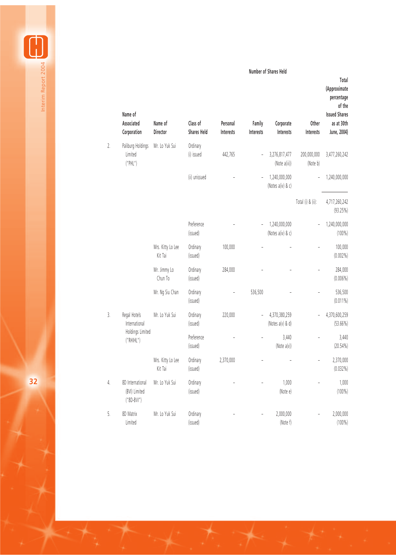**Number of Shares Held**

**Total**

Interim Report 2004 Interim Report 2004

|                  | Name of<br>Associated<br>Corporation                | Name of<br>Director          | Class of<br><b>Shares Held</b> | Personal<br><b>Interests</b> | Family<br>Interests | Corporate<br>Interests             | Other<br><b>Interests</b> | (Approximate<br>percentage<br>of the<br><b>Issued Shares</b><br>as at 30th<br>June, 2004) |
|------------------|-----------------------------------------------------|------------------------------|--------------------------------|------------------------------|---------------------|------------------------------------|---------------------------|-------------------------------------------------------------------------------------------|
| 2.               | Paliburg Holdings<br>Limited<br>("PHL")             | Mr. Lo Yuk Sui               | Ordinary<br>(i) issued         | 442,765                      |                     | 3,276,817,477<br>(Note a(iii))     | 200,000,000<br>(Note b)   | 3,477,260,242                                                                             |
|                  |                                                     |                              | (ii) unissued                  |                              |                     | 1,240,000,000<br>(Notes a(iv) & c) |                           | 1,240,000,000                                                                             |
|                  |                                                     |                              |                                |                              |                     |                                    | Total (i) & (ii):         | 4,717,260,242<br>(93.25%)                                                                 |
|                  |                                                     |                              | Preference<br>(issued)         |                              |                     | 1,240,000,000<br>(Notes a(iv) & c) |                           | 1,240,000,000<br>$(100\%)$                                                                |
|                  |                                                     | Mrs. Kitty Lo Lee<br>Kit Tai | Ordinary<br>(issued)           | 100,000                      |                     |                                    |                           | 100,000<br>$(0.002\%)$                                                                    |
|                  |                                                     | Mr. Jimmy Lo<br>Chun To      | Ordinary<br>(issued)           | 284,000                      |                     |                                    |                           | 284,000<br>$(0.006\%)$                                                                    |
|                  |                                                     | Mr. Ng Siu Chan              | Ordinary<br>(issued)           | $\frac{1}{2}$                | 536,500             |                                    |                           | 536,500<br>$(0.011\%)$                                                                    |
| $\overline{3}$ . | Regal Hotels<br>International                       | Mr. Lo Yuk Sui               | Ordinary<br>(issued)           | 220,000                      |                     | 4,370,380,259<br>(Notes a(v) & d)  |                           | 4,370,600,259<br>$(53.66\%)$                                                              |
|                  | Holdings Limited<br>$\left( \text{``RHHH''}\right)$ |                              | Preference<br>(issued)         |                              |                     | 3,440<br>(Note $a(v)$ )            |                           | 3,440<br>$(20.54\%)$                                                                      |
|                  |                                                     | Mrs. Kitty Lo Lee<br>Kit Tai | Ordinary<br>(issued)           | 2,370,000                    |                     |                                    |                           | 2,370,000<br>$(0.032\%)$                                                                  |
| 4.               | 8D International<br>(BVI) Limited<br>$("8D-BVI")$   | Mr. Lo Yuk Sui               | Ordinary<br>(issued)           |                              |                     | 1,000<br>(Note e)                  |                           | 1,000<br>$(100\%)$                                                                        |
| 5.               | 8D Matrix<br>Limited                                | Mr. Lo Yuk Sui               | Ordinary<br>(issued)           |                              |                     | 2,000,000<br>(Note f)              |                           | 2,000,000<br>$(100\%)$                                                                    |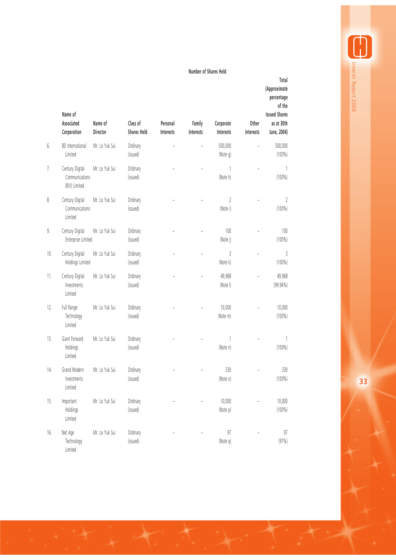## **Number of Shares Held**

|     | Name of<br>Associated<br>Corporation               | Name of<br>Director | Class of<br><b>Shares Held</b> | Personal<br>Interests | Family<br>Interests | Corporate<br>Interests | Other<br>Interests | Total<br>(Approximate<br>percentage<br>of the<br><b>Issued Shares</b><br>as at 30th<br>June, 2004) |
|-----|----------------------------------------------------|---------------------|--------------------------------|-----------------------|---------------------|------------------------|--------------------|----------------------------------------------------------------------------------------------------|
| 6.  | 8D International<br>Limited                        | Mr. Lo Yuk Sui      | Ordinary<br>(issued)           |                       |                     | 500,000<br>(Note q)    |                    | 500,000<br>$(100\%)$                                                                               |
| 7.  | Century Digital<br>Communications<br>(BVI) Limited | Mr. Lo Yuk Sui      | Ordinary<br>(issued)           |                       |                     | 1<br>(Note h)          |                    | 1<br>$(100\%)$                                                                                     |
| 8.  | Century Digital<br>Communications<br>Limited       | Mr. Lo Yuk Sui      | Ordinary<br>(issued)           |                       |                     | 2<br>(Note i)          |                    | 2<br>$(100\%)$                                                                                     |
| 9.  | Century Digital<br>Enterprise Limited              | Mr. Lo Yuk Sui      | Ordinary<br>(issued)           |                       |                     | 100<br>(Note j)        |                    | 100<br>$(100\%)$                                                                                   |
| 10. | Century Digital<br>Holdings Limited                | Mr. Lo Yuk Sui      | Ordinary<br>(issued)           |                       |                     | 3<br>(Note k)          |                    | 3<br>$(100\%)$                                                                                     |
| 11. | Century Digital<br>Investments<br>Limited          | Mr. Lo Yuk Sui      | Ordinary<br>(issued)           |                       |                     | 49,968<br>(Note I)     |                    | 49,968<br>$(99.94\%)$                                                                              |
| 12. | Full Range<br>Technology<br>Limited                | Mr. Lo Yuk Sui      | Ordinary<br>(issued)           |                       |                     | 10,000<br>(Note m)     |                    | 10,000<br>$(100\%)$                                                                                |
| 13. | Giant Forward<br>Holdings<br>Limited               | Mr. Lo Yuk Sui      | Ordinary<br>(issued)           |                       |                     | 1<br>(Note n)          |                    | 1<br>$(100\%)$                                                                                     |
| 14. | Grand Modern<br>Investments<br>Limited             | Mr. Lo Yuk Sui      | Ordinary<br>(issued)           |                       |                     | 330<br>(Note o)        |                    | 330<br>$(100\%)$                                                                                   |
| 15. | Important<br>Holdings<br>Limited                   | Mr. Lo Yuk Sui      | Ordinary<br>(issued)           |                       |                     | 10,000<br>(Note p)     |                    | 10,000<br>$(100\%)$                                                                                |
| 16. | Net Age<br>Technology<br>Limited                   | Mr. Lo Yuk Sui      | Ordinary<br>(issued)           |                       |                     | 97<br>(Note q)         |                    | 97<br>(97%)                                                                                        |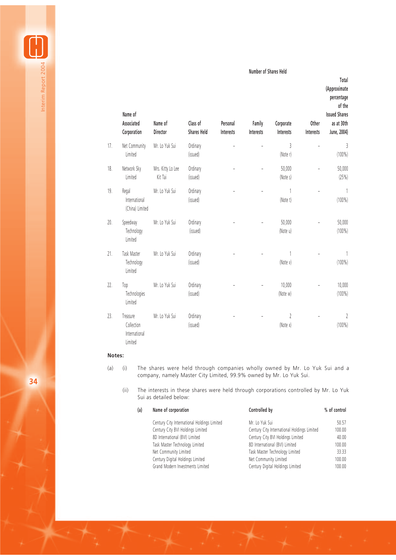**Number of Shares Held**

**Total**

Interim Report 2004

Interim Report 2004

|     | Name of<br>Associated<br>Corporation               | Name of<br>Director          | Class of<br><b>Shares Held</b> | Personal<br>Interests | Family<br>Interests | Corporate<br>Interests | Other<br>Interests | (Approximate<br>percentage<br>of the<br><b>Issued Shares</b><br>as at 30th<br>June, 2004) |
|-----|----------------------------------------------------|------------------------------|--------------------------------|-----------------------|---------------------|------------------------|--------------------|-------------------------------------------------------------------------------------------|
| 17. | Net Community<br>Limited                           | Mr. Lo Yuk Sui               | Ordinary<br>(issued)           |                       | L,                  | 3<br>(Note r)          |                    | 3<br>$(100\%)$                                                                            |
| 18. | Network Sky<br>Limited                             | Mrs. Kitty Lo Lee<br>Kit Tai | Ordinary<br>(issued)           |                       |                     | 50,000<br>(Note s)     |                    | 50,000<br>(25%)                                                                           |
| 19. | Regal<br>International<br>(China) Limited          | Mr. Lo Yuk Sui               | Ordinary<br>(issued)           |                       |                     | 1<br>(Note t)          |                    | 1<br>$(100\%)$                                                                            |
| 20. | Speedway<br>Technology<br>Limited                  | Mr. Lo Yuk Sui               | Ordinary<br>(issued)           |                       |                     | 50,000<br>(Note u)     |                    | 50,000<br>$(100\%)$                                                                       |
| 21. | Task Master<br>Technology<br>Limited               | Mr. Lo Yuk Sui               | Ordinary<br>(issued)           |                       |                     | (Note v)               |                    | 1<br>$(100\%)$                                                                            |
| 22. | Top<br>Technologies<br>Limited                     | Mr. Lo Yuk Sui               | Ordinary<br>(issued)           |                       |                     | 10,000<br>(Note w)     |                    | 10,000<br>$(100\%)$                                                                       |
| 23. | Treasure<br>Collection<br>International<br>Limited | Mr. Lo Yuk Sui               | Ordinary<br>(issued)           |                       |                     | 2<br>(Note x)          |                    | $\gamma$<br>$(100\%)$                                                                     |

## **Notes:**

- (a) (i) The shares were held through companies wholly owned by Mr. Lo Yuk Sui and a company, namely Master City Limited, 99.9% owned by Mr. Lo Yuk Sui.
	- (ii) The interests in these shares were held through corporations controlled by Mr. Lo Yuk Sui as detailed below:

| (a) | Name of corporation                         | Controlled by                               | % of control |
|-----|---------------------------------------------|---------------------------------------------|--------------|
|     | Century City International Holdings Limited | Mr. Lo Yuk Sui                              | 50.57        |
|     | Century City BVI Holdings Limited           | Century City International Holdings Limited | 100.00       |
|     | 8D International (BVI) Limited              | Century City BVI Holdings Limited           | 40.00        |
|     | Task Master Technology Limited              | 8D International (BVI) Limited              | 100.00       |
|     | Net Community Limited                       | Task Master Technology Limited              | 33.33        |
|     | Century Digital Holdings Limited            | Net Community Limited                       | 100.00       |
|     | Grand Modern Investments Limited            | Century Digital Holdings Limited            | 100.00       |

**34**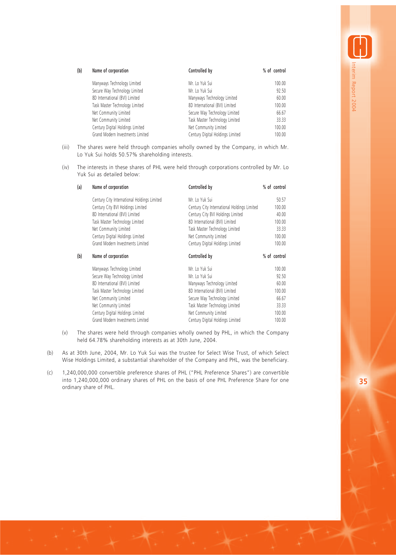| (b) | Name of corporation              | Controlled by                    | % of control |
|-----|----------------------------------|----------------------------------|--------------|
|     | Manyways Technology Limited      | Mr. Lo Yuk Sui                   | 100.00       |
|     | Secure Way Technology Limited    | Mr. Lo Yuk Sui                   | 92.50        |
|     | 8D International (BVI) Limited   | Manyways Technology Limited      | 60.00        |
|     | Task Master Technology Limited   | 8D International (BVI) Limited   | 100.00       |
|     | Net Community Limited            | Secure Way Technology Limited    | 66.67        |
|     | Net Community Limited            | Task Master Technology Limited   | 33.33        |
|     | Century Digital Holdings Limited | Net Community Limited            | 100.00       |
|     | Grand Modern Investments Limited | Century Digital Holdings Limited | 100.00       |

- (iii) The shares were held through companies wholly owned by the Company, in which Mr. Lo Yuk Sui holds 50.57% shareholding interests.
- (iv) The interests in these shares of PHL were held through corporations controlled by Mr. Lo Yuk Sui as detailed below:

| Name of corporation                         | Controlled by                               | % of control |  |
|---------------------------------------------|---------------------------------------------|--------------|--|
| Century City International Holdings Limited | Mr. Lo Yuk Sui                              | 50.57        |  |
| Century City BVI Holdings Limited           | Century City International Holdings Limited | 100.00       |  |
| 8D International (BVI) Limited              | Century City BVI Holdings Limited           | 40.00        |  |
| Task Master Technology Limited              | 8D International (BVI) Limited              | 100.00       |  |
| Net Community Limited                       | Task Master Technology Limited              | 33.33        |  |
| Century Digital Holdings Limited            | Net Community Limited                       | 100.00       |  |
| Grand Modern Investments Limited            | Century Digital Holdings Limited            | 100.00       |  |
| Name of corporation                         | Controlled by                               | % of control |  |
| Manyways Technology Limited                 | Mr. Lo Yuk Sui                              | 100.00       |  |
| Secure Way Technology Limited               | Mr. Lo Yuk Sui                              | 92.50        |  |
| 8D International (BVI) Limited              | Manyways Technology Limited                 | 60.00        |  |
| Task Master Technology Limited              | 8D International (BVI) Limited              | 100.00       |  |
| Net Community Limited                       | Secure Way Technology Limited               | 66.67        |  |
| Net Community Limited                       | Task Master Technology Limited              | 33.33        |  |
| Century Digital Holdings Limited            | Net Community Limited                       | 100.00       |  |
| Grand Modern Investments Limited            | Century Digital Holdings Limited            | 100.00       |  |
|                                             |                                             |              |  |

- (v) The shares were held through companies wholly owned by PHL, in which the Company held 64.78% shareholding interests as at 30th June, 2004.
- (b) As at 30th June, 2004, Mr. Lo Yuk Sui was the trustee for Select Wise Trust, of which Select Wise Holdings Limited, a substantial shareholder of the Company and PHL, was the beneficiary.
- (c) 1,240,000,000 convertible preference shares of PHL ("PHL Preference Shares") are convertible into 1,240,000,000 ordinary shares of PHL on the basis of one PHL Preference Share for one ordinary share of PHL.

**35**

Interim Report 2004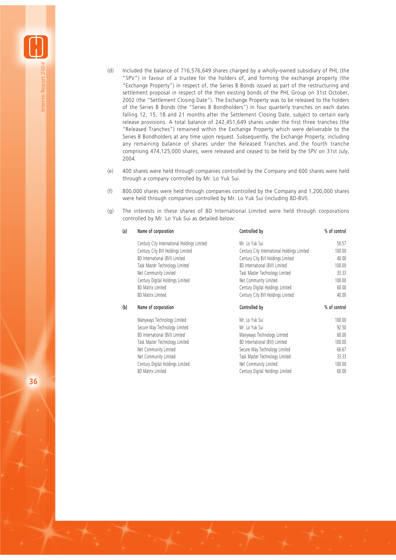- (d) Included the balance of 716,576,649 shares charged by a wholly-owned subsidiary of PHL (the "SPV") in favour of a trustee for the holders of, and forming the exchange property (the "Exchange Property") in respect of, the Series B Bonds issued as part of the restructuring and settlement proposal in respect of the then existing bonds of the PHL Group on 31st October, 2002 (the "Settlement Closing Date"). The Exchange Property was to be released to the holders of the Series B Bonds (the "Series B Bondholders") in four quarterly tranches on each dates falling 12, 15, 18 and 21 months after the Settlement Closing Date, subject to certain early release provisions. A total balance of 242,451,649 shares under the first three tranches (the "Released Tranches") remained within the Exchange Property which were deliverable to the Series B Bondholders at any time upon request. Subsequently, the Exchange Property, including any remaining balance of shares under the Released Tranches and the fourth tranche comprising 474,125,000 shares, were released and ceased to be held by the SPV on 31st July, 2004.
- (e) 400 shares were held through companies controlled by the Company and 600 shares were held through a company controlled by Mr. Lo Yuk Sui.
- (f) 800,000 shares were held through companies controlled by the Company and 1,200,000 shares were held through companies controlled by Mr. Lo Yuk Sui (including 8D-BVI).
- (g) The interests in these shares of 8D International Limited were held through corporations controlled by Mr. Lo Yuk Sui as detailed below:

 $2.000000$ 

| (a) | Name of corporation                         | Controlled by                               | % of control |
|-----|---------------------------------------------|---------------------------------------------|--------------|
|     | Century City International Holdings Limited | Mr. Lo Yuk Sui                              | 50.57        |
|     | Century City BVI Holdings Limited           | Century City International Holdings Limited | 100.00       |
|     | 8D International (BVI) Limited              | Century City BVI Holdings Limited           | 40.00        |
|     | Task Master Technology Limited              | 8D International (BVI) Limited              | 100.00       |
|     | Net Community Limited                       | Task Master Technology Limited              | 33.33        |
|     | Century Digital Holdings Limited            | Net Community Limited                       | 100.00       |
|     | 8D Matrix Limited                           | Century Digital Holdings Limited            | 60.00        |
|     | 8D Matrix Limited                           | Century City BVI Holdings Limited           | 40.00        |
| (b) | Name of corporation                         | Controlled by                               | % of control |
|     | Manyways Technology Limited                 | Mr. Lo Yuk Sui                              | 100.00       |
|     | Secure Way Technology Limited               | Mr. Lo Yuk Sui                              | 92.50        |
|     | 8D International (BVI) Limited              | Manyways Technology Limited                 | 60.00        |
|     | Task Master Technology Limited              | 8D International (BVI) Limited              | 100.00       |
|     | Net Community Limited                       | Secure Way Technology Limited               | 66.67        |
|     | Net Community Limited                       | Task Master Technology Limited              | 33.33        |
|     | Century Digital Holdings Limited            | Net Community Limited                       | 100.00       |
|     | 8D Matrix Limited                           | Century Digital Holdings Limited            | 60.00        |

**36**

Interim Report 2004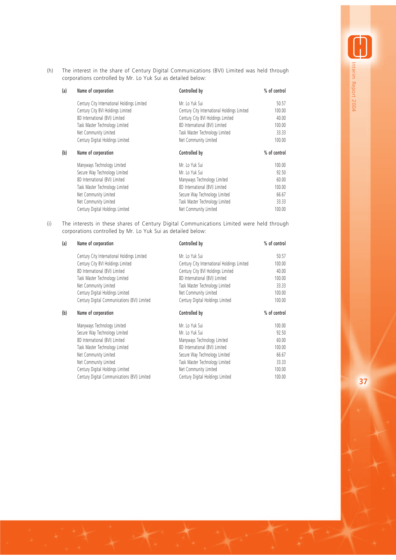(h) The interest in the share of Century Digital Communications (BVI) Limited was held through corporations controlled by Mr. Lo Yuk Sui as detailed below:

| (a) | Name of corporation                         | Controlled by                               | % of control |
|-----|---------------------------------------------|---------------------------------------------|--------------|
|     | Century City International Holdings Limited | Mr. Lo Yuk Sui                              | 50.57        |
|     | Century City BVI Holdings Limited           | Century City International Holdings Limited | 100.00       |
|     | 8D International (BVI) Limited              | Century City BVI Holdings Limited           | 40.00        |
|     | Task Master Technology Limited              | 8D International (BVI) Limited              | 100.00       |
|     | Net Community Limited                       | Task Master Technology Limited              | 33.33        |
|     | Century Digital Holdings Limited            | Net Community Limited                       | 100.00       |
| (b) | Name of corporation                         | Controlled by                               | % of control |
|     | Manyways Technology Limited                 | Mr. Lo Yuk Sui                              | 100.00       |
|     | Secure Way Technology Limited               | Mr. Lo Yuk Sui                              | 92.50        |
|     | 8D International (BVI) Limited              | Manyways Technology Limited                 | 60.00        |
|     | Task Master Technology Limited              | 8D International (BVI) Limited              | 100.00       |
|     | Net Community Limited                       | Secure Way Technology Limited               | 66.67        |
|     | Net Community Limited                       | Task Master Technology Limited              | 33.33        |
|     | Century Digital Holdings Limited            | Net Community Limited                       | 100.00       |

(i) The interests in these shares of Century Digital Communications Limited were held through corporations controlled by Mr. Lo Yuk Sui as detailed below:

| (a) | Name of corporation                          | Controlled by                               | % of control |
|-----|----------------------------------------------|---------------------------------------------|--------------|
|     | Century City International Holdings Limited  | Mr. Lo Yuk Sui                              | 50.57        |
|     | Century City BVI Holdings Limited            | Century City International Holdings Limited | 100.00       |
|     | 8D International (BVI) Limited               | Century City BVI Holdings Limited           | 40.00        |
|     | Task Master Technology Limited               | 8D International (BVI) Limited              | 100.00       |
|     | Net Community Limited                        | Task Master Technology Limited              | 33.33        |
|     | Century Digital Holdings Limited             | Net Community Limited                       | 100.00       |
|     | Century Digital Communications (BVI) Limited | Century Digital Holdings Limited            | 100.00       |
| (b) | Name of corporation                          | Controlled by                               | % of control |
|     | Manyways Technology Limited                  | Mr. Lo Yuk Sui                              | 100.00       |
|     | Secure Way Technology Limited                | Mr. Lo Yuk Sui                              | 92.50        |
|     | 8D International (BVI) Limited               | Manyways Technology Limited                 | 60.00        |
|     | Task Master Technology Limited               | 8D International (BVI) Limited              | 100.00       |
|     | Net Community Limited                        | Secure Way Technology Limited               | 66.67        |
|     | Net Community Limited                        | Task Master Technology Limited              | 33.33        |
|     | Century Digital Holdings Limited             | Net Community Limited                       | 100.00       |
|     | Century Digital Communications (BVI) Limited | Century Digital Holdings Limited            | 100.00       |
|     |                                              |                                             |              |

Interim Report 2004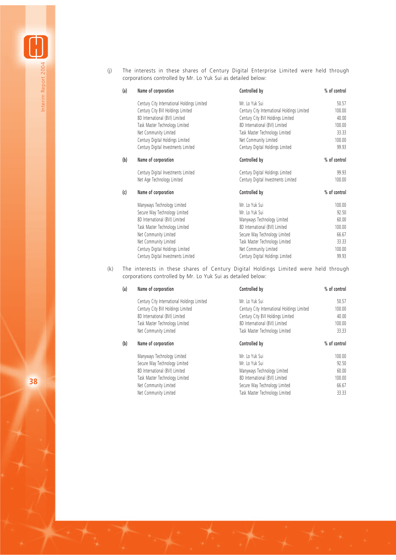(j) The interests in these shares of Century Digital Enterprise Limited were held through corporations controlled by Mr. Lo Yuk Sui as detailed below:

| (a) | Name of corporation                         | Controlled by                               | % of control |
|-----|---------------------------------------------|---------------------------------------------|--------------|
|     | Century City International Holdings Limited | Mr. Lo Yuk Sui                              | 50.57        |
|     | Century City BVI Holdings Limited           | Century City International Holdings Limited | 100.00       |
|     | 8D International (BVI) Limited              | Century City BVI Holdings Limited           | 40.00        |
|     | Task Master Technology Limited              | 8D International (BVI) Limited              | 100.00       |
|     | Net Community Limited                       | Task Master Technology Limited              | 33.33        |
|     | Century Digital Holdings Limited            | Net Community Limited                       | 100.00       |
|     | Century Digital Investments Limited         | Century Digital Holdings Limited            | 99.93        |
| (b) | Name of corporation                         | Controlled by                               | % of control |
|     | Century Digital Investments Limited         | Century Digital Holdings Limited            | 99.93        |
|     | Net Age Technology Limited                  | Century Digital Investments Limited         | 100.00       |
| (c) | Name of corporation                         | Controlled by                               | % of control |
|     | Manyways Technology Limited                 | Mr. Lo Yuk Sui                              | 100.00       |
|     | Secure Way Technology Limited               | Mr. Lo Yuk Sui                              | 92.50        |
|     | 8D International (BVI) Limited              | Manyways Technology Limited                 | 60.00        |
|     | Task Master Technology Limited              | 8D International (BVI) Limited              | 100.00       |
|     | Net Community Limited                       | Secure Way Technology Limited               | 66.67        |
|     | Net Community Limited                       | Task Master Technology Limited              | 33.33        |
|     | Century Digital Holdings Limited            | Net Community Limited                       | 100.00       |
|     | Century Digital Investments Limited         | Century Digital Holdings Limited            | 99.93        |

(k) The interests in these shares of Century Digital Holdings Limited were held through corporations controlled by Mr. Lo Yuk Sui as detailed below:

| (a) | Name of corporation                         | Controlled by                               | % of control |
|-----|---------------------------------------------|---------------------------------------------|--------------|
|     | Century City International Holdings Limited | Mr. Lo Yuk Sui                              | 50.57        |
|     | Century City BVI Holdings Limited           | Century City International Holdings Limited | 100.00       |
|     | 8D International (BVI) Limited              | Century City BVI Holdings Limited           | 40.00        |
|     | Task Master Technology Limited              | 8D International (BVI) Limited              | 100.00       |
|     | Net Community Limited                       | Task Master Technology Limited              | 33.33        |
| (b) | Name of corporation                         | Controlled by                               | % of control |
|     | Manyways Technology Limited                 | Mr. Lo Yuk Sui                              | 100.00       |
|     | Secure Way Technology Limited               | Mr. Lo Yuk Sui                              | 92.50        |
|     | 8D International (BVI) Limited              | Manyways Technology Limited                 | 60.00        |
|     | Task Master Technology Limited              | 8D International (BVI) Limited              | 100.00       |
|     | Net Community Limited                       | Secure Way Technology Limited               | 66.67        |
|     | Net Community Limited                       | Task Master Technology Limited              | 33.33        |

**38**

Interim Report 2004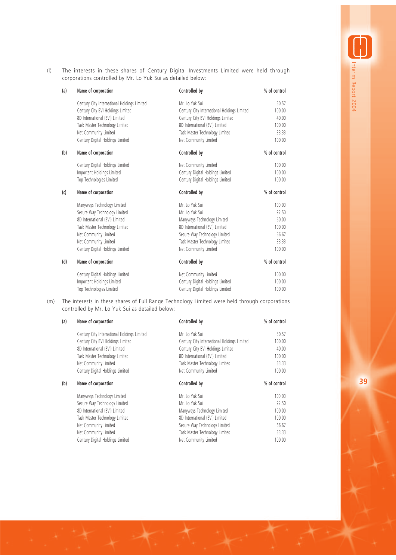(l) The interests in these shares of Century Digital Investments Limited were held through corporations controlled by Mr. Lo Yuk Sui as detailed below:

| (a) | Name of corporation                         | Controlled by                               | % of control |
|-----|---------------------------------------------|---------------------------------------------|--------------|
|     | Century City International Holdings Limited | Mr. Lo Yuk Sui                              | 50.57        |
|     | Century City BVI Holdings Limited           | Century City International Holdings Limited | 100.00       |
|     | 8D International (BVI) Limited              | Century City BVI Holdings Limited           | 40.00        |
|     | Task Master Technology Limited              | 8D International (BVI) Limited              | 100.00       |
|     | Net Community Limited                       | Task Master Technology Limited              | 33.33        |
|     | Century Digital Holdings Limited            | Net Community Limited                       | 100.00       |
| (b) | Name of corporation                         | Controlled by                               | % of control |
|     | Century Digital Holdings Limited            | Net Community Limited                       | 100.00       |
|     | Important Holdings Limited                  | Century Digital Holdings Limited            | 100.00       |
|     | Top Technologies Limited                    | Century Digital Holdings Limited            | 100.00       |
| (c) | Name of corporation                         | Controlled by                               | % of control |
|     | Manyways Technology Limited                 | Mr. Lo Yuk Sui                              | 100.00       |
|     | Secure Way Technology Limited               | Mr. Lo Yuk Sui                              | 92.50        |
|     | 8D International (BVI) Limited              | Manyways Technology Limited                 | 60.00        |
|     | Task Master Technology Limited              | 8D International (BVI) Limited              | 100.00       |
|     | Net Community Limited                       | Secure Way Technology Limited               | 66.67        |
|     | Net Community Limited                       | Task Master Technology Limited              | 33.33        |
|     | Century Digital Holdings Limited            | Net Community Limited                       | 100.00       |
| (d) | Name of corporation                         | Controlled by                               | % of control |
|     | Century Digital Holdings Limited            | Net Community Limited                       | 100.00       |
|     | Important Holdings Limited                  | Century Digital Holdings Limited            | 100.00       |
|     | Top Technologies Limited                    | Century Digital Holdings Limited            | 100.00       |

(m) The interests in these shares of Full Range Technology Limited were held through corporations controlled by Mr. Lo Yuk Sui as detailed below:

| (a) | Name of corporation                         | Controlled by                               | % of control |
|-----|---------------------------------------------|---------------------------------------------|--------------|
|     | Century City International Holdings Limited | Mr. Lo Yuk Sui                              | 50.57        |
|     | Century City BVI Holdings Limited           | Century City International Holdings Limited | 100.00       |
|     | 8D International (BVI) Limited              | Century City BVI Holdings Limited           | 40.00        |
|     | Task Master Technology Limited              | 8D International (BVI) Limited              | 100.00       |
|     | Net Community Limited                       | Task Master Technology Limited              | 33.33        |
|     | Century Digital Holdings Limited            | Net Community Limited                       | 100.00       |
| (b) | Name of corporation                         | Controlled by                               | % of control |
|     | Manyways Technology Limited                 | Mr. Lo Yuk Sui                              | 100.00       |
|     | Secure Way Technology Limited               | Mr. Lo Yuk Sui                              | 92.50        |
|     | 8D International (BVI) Limited              | Manyways Technology Limited                 | 100.00       |
|     | Task Master Technology Limited              | 8D International (BVI) Limited              | 100.00       |
|     | Net Community Limited                       | Secure Way Technology Limited               | 66.67        |
|     | Net Community Limited                       | Task Master Technology Limited              | 33.33        |
|     | Century Digital Holdings Limited            | Net Community Limited                       | 100.00       |

Interim Report 2004 nterim Report 2004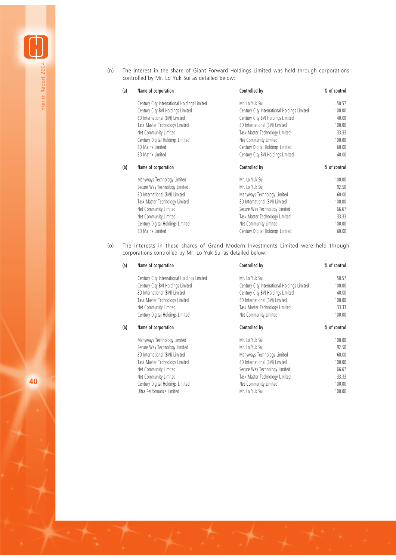(n) The interest in the share of Giant Forward Holdings Limited was held through corporations controlled by Mr. Lo Yuk Sui as detailed below:

| (a) | Name of corporation                         | Controlled by                               | % of control |
|-----|---------------------------------------------|---------------------------------------------|--------------|
|     | Century City International Holdings Limited | Mr. Lo Yuk Sui                              | 50.57        |
|     | Century City BVI Holdings Limited           | Century City International Holdings Limited | 100.00       |
|     | 8D International (BVI) Limited              | Century City BVI Holdings Limited           | 40.00        |
|     | Task Master Technology Limited              | 8D International (BVI) Limited              | 100.00       |
|     | Net Community Limited                       | Task Master Technology Limited              | 33.33        |
|     | Century Digital Holdings Limited            | Net Community Limited                       | 100.00       |
|     | 8D Matrix Limited                           | Century Digital Holdings Limited            | 60.00        |
|     | 8D Matrix Limited                           | Century City BVI Holdings Limited           | 40.00        |
|     |                                             |                                             |              |
| (b) | Name of corporation                         | Controlled by                               | % of control |
|     | Manyways Technology Limited                 | Mr. Lo Yuk Sui                              | 100.00       |
|     | Secure Way Technology Limited               | Mr. Lo Yuk Sui                              | 92.50        |
|     | 8D International (BVI) Limited              | Manyways Technology Limited                 | 60.00        |
|     | Task Master Technology Limited              | 8D International (BVI) Limited              | 100.00       |
|     | Net Community Limited                       | Secure Way Technology Limited               | 66.67        |
|     | Net Community Limited                       | Task Master Technology Limited              | 33.33        |
|     | Century Digital Holdings Limited            | Net Community Limited                       | 100.00       |

(o) The interests in these shares of Grand Modern Investments Limited were held through corporations controlled by Mr. Lo Yuk Sui as detailed below:

| (a) | Name of corporation                         | Controlled by                               | % of control |
|-----|---------------------------------------------|---------------------------------------------|--------------|
|     | Century City International Holdings Limited | Mr. Lo Yuk Sui                              | 50.57        |
|     | Century City BVI Holdings Limited           | Century City International Holdings Limited | 100.00       |
|     | 8D International (BVI) Limited              | Century City BVI Holdings Limited           | 40.00        |
|     | Task Master Technology Limited              | 8D International (BVI) Limited              | 100.00       |
|     | Net Community Limited                       | Task Master Technology Limited              | 33.33        |
|     | Century Digital Holdings Limited            | Net Community Limited                       | 100.00       |
| (b) | Name of corporation                         | Controlled by                               | % of control |
|     | Manyways Technology Limited                 | Mr. Lo Yuk Sui                              | 100.00       |
|     | Secure Way Technology Limited               | Mr. Lo Yuk Sui                              | 92.50        |
|     | 8D International (BVI) Limited              | Manyways Technology Limited                 | 60.00        |
|     | Task Master Technology Limited              | 8D International (BVI) Limited              | 100.00       |
|     | Net Community Limited                       | Secure Way Technology Limited               | 66.67        |
|     | Net Community Limited                       | Task Master Technology Limited              | 33.33        |
|     | Century Digital Holdings Limited            | Net Community Limited                       | 100.00       |
|     | Ultra Performance Limited                   | Mr. Lo Yuk Sui                              | 100.00       |

**40**

Interim Report 2004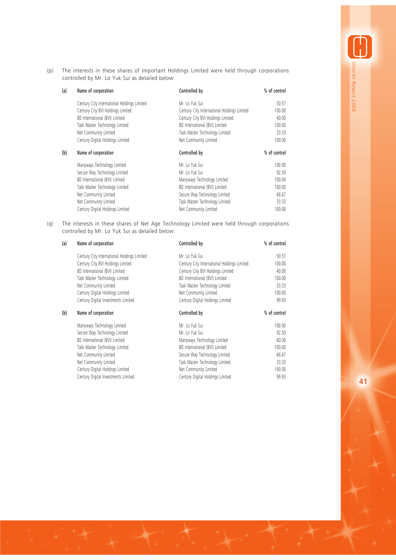(p) The interests in these shares of Important Holdings Limited were held through corporations controlled by Mr. Lo Yuk Sui as detailed below:

| (a) | Name of corporation                         | Controlled by                               | % of control |
|-----|---------------------------------------------|---------------------------------------------|--------------|
|     | Century City International Holdings Limited | Mr. Lo Yuk Sui                              | 50.57        |
|     | Century City BVI Holdings Limited           | Century City International Holdings Limited | 100.00       |
|     | 8D International (BVI) Limited              | Century City BVI Holdings Limited           | 40.00        |
|     | Task Master Technology Limited              | 8D International (BVI) Limited              | 100.00       |
|     | Net Community Limited                       | Task Master Technology Limited              | 33.33        |
|     | Century Digital Holdings Limited            | Net Community Limited                       | 100.00       |
| (b) | Name of corporation                         | Controlled by                               | % of control |
|     | Manyways Technology Limited                 | Mr. Lo Yuk Sui                              | 100.00       |
|     | Secure Way Technology Limited               | Mr. Lo Yuk Sui                              | 92.50        |
|     | 8D International (BVI) Limited              | Manyways Technology Limited                 | 100.00       |
|     | Task Master Technology Limited              | 8D International (BVI) Limited              | 100.00       |
|     | Net Community Limited                       | Secure Way Technology Limited               | 66.67        |
|     | Net Community Limited                       | Task Master Technology Limited              | 33.33        |
|     | Century Digital Holdings Limited            | Net Community Limited                       | 100.00       |

(q) The interests in these shares of Net Age Technology Limited were held through corporations controlled by Mr. Lo Yuk Sui as detailed below:

| (a) | Name of corporation                         | Controlled by                               | % of control |
|-----|---------------------------------------------|---------------------------------------------|--------------|
|     | Century City International Holdings Limited | Mr. Lo Yuk Sui                              | 50.57        |
|     | Century City BVI Holdings Limited           | Century City International Holdings Limited | 100.00       |
|     | 8D International (BVI) Limited              | Century City BVI Holdings Limited           | 40.00        |
|     | Task Master Technology Limited              | 8D International (BVI) Limited              | 100.00       |
|     | Net Community Limited                       | Task Master Technology Limited              | 33.33        |
|     | Century Digital Holdings Limited            | Net Community Limited                       | 100.00       |
|     | Century Digital Investments Limited         | Century Digital Holdings Limited            | 99.93        |
| (b) | Name of corporation                         | Controlled by                               | % of control |
|     | Manyways Technology Limited                 | Mr. Lo Yuk Sui                              | 100.00       |
|     | Secure Way Technology Limited               | Mr. Lo Yuk Sui                              | 92.50        |
|     | 8D International (BVI) Limited              | Manyways Technology Limited                 | 60.00        |
|     | Task Master Technology Limited              | 8D International (BVI) Limited              | 100.00       |
|     | Net Community Limited                       | Secure Way Technology Limited               | 66.67        |
|     | Net Community Limited                       | Task Master Technology Limited              | 33.33        |
|     | Century Digital Holdings Limited            | Net Community Limited                       | 100.00       |
|     | Century Digital Investments Limited         | Century Digital Holdings Limited            | 99.93        |

**41**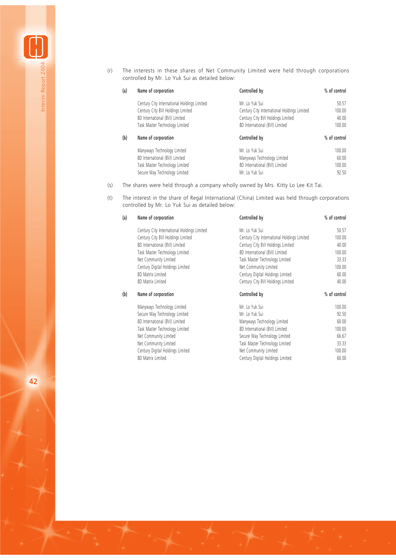(r) The interests in these shares of Net Community Limited were held through corporations controlled by Mr. Lo Yuk Sui as detailed below:

| (a) | Name of corporation                         | Controlled by                               | % of control |
|-----|---------------------------------------------|---------------------------------------------|--------------|
|     | Century City International Holdings Limited | Mr. Lo Yuk Sui                              | 50.57        |
|     | Century City BVI Holdings Limited           | Century City International Holdings Limited | 100.00       |
|     | 8D International (BVI) Limited              | Century City BVI Holdings Limited           | 40.00        |
|     | Task Master Technology Limited              | 8D International (BVI) Limited              | 100.00       |
|     |                                             |                                             |              |
| (b) | Name of corporation                         | Controlled by                               | % of control |
|     | Manyways Technology Limited                 | Mr. Lo Yuk Sui                              | 100.00       |
|     | 8D International (BVI) Limited              | Manyways Technology Limited                 | 60.00        |
|     | Task Master Technology Limited              | 8D International (BVI) Limited              | 100.00       |

- (s) The shares were held through a company wholly owned by Mrs. Kitty Lo Lee Kit Tai.
- (t) The interest in the share of Regal International (China) Limited was held through corporations controlled by Mr. Lo Yuk Sui as detailed below:

| (a) | Name of corporation                         | Controlled by                               | % of control |
|-----|---------------------------------------------|---------------------------------------------|--------------|
|     | Century City International Holdings Limited | Mr. Lo Yuk Sui                              | 50.57        |
|     | Century City BVI Holdings Limited           | Century City International Holdings Limited | 100.00       |
|     | 8D International (BVI) Limited              | Century City BVI Holdings Limited           | 40.00        |
|     | Task Master Technology Limited              | 8D International (BVI) Limited              | 100.00       |
|     | Net Community Limited                       | Task Master Technology Limited              | 33.33        |
|     | Century Digital Holdings Limited            | Net Community Limited                       | 100.00       |
|     | 8D Matrix Limited                           | Century Digital Holdings Limited            | 60.00        |
|     | 8D Matrix Limited                           | Century City BVI Holdings Limited           | 40.00        |
| (b) | Name of corporation                         | Controlled by                               | % of control |
|     | Manyways Technology Limited                 | Mr. Lo Yuk Sui                              | 100.00       |
|     | Secure Way Technology Limited               | Mr. Lo Yuk Sui                              | 92.50        |
|     | 8D International (BVI) Limited              | Manyways Technology Limited                 | 60.00        |
|     | Task Master Technology Limited              | 8D International (BVI) Limited              | 100.00       |
|     | Net Community Limited                       | Secure Way Technology Limited               | 66.67        |
|     | Net Community Limited                       | Task Master Technology Limited              | 33.33        |
|     | Century Digital Holdings Limited            | Net Community Limited                       | 100.00       |
|     | 8D Matrix Limited                           | Century Digital Holdings Limited            | 60.00        |

**42**

Interim Report 2004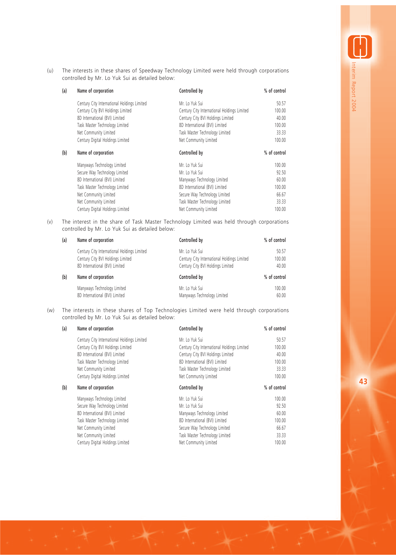(u) The interests in these shares of Speedway Technology Limited were held through corporations controlled by Mr. Lo Yuk Sui as detailed below:

| (a) | Name of corporation                         | Controlled by                               | % of control |
|-----|---------------------------------------------|---------------------------------------------|--------------|
|     | Century City International Holdings Limited | Mr. Lo Yuk Sui                              | 50.57        |
|     | Century City BVI Holdings Limited           | Century City International Holdings Limited | 100.00       |
|     | 8D International (BVI) Limited              | Century City BVI Holdings Limited           | 40.00        |
|     | Task Master Technology Limited              | 8D International (BVI) Limited              | 100.00       |
|     | Net Community Limited                       | Task Master Technology Limited              | 33.33        |
|     | Century Digital Holdings Limited            | Net Community Limited                       | 100.00       |
| (b) | Name of corporation                         | Controlled by                               | % of control |
|     | Manyways Technology Limited                 | Mr. Lo Yuk Sui                              | 100.00       |
|     | Secure Way Technology Limited               | Mr. Lo Yuk Sui                              | 92.50        |
|     | 8D International (BVI) Limited              | Manyways Technology Limited                 | 60.00        |
|     | Task Master Technology Limited              | 8D International (BVI) Limited              | 100.00       |
|     | Net Community Limited                       | Secure Way Technology Limited               | 66.67        |
|     | Net Community Limited                       | Task Master Technology Limited              | 33.33        |
|     | Century Digital Holdings Limited            | Net Community Limited                       | 100.00       |

(v) The interest in the share of Task Master Technology Limited was held through corporations controlled by Mr. Lo Yuk Sui as detailed below:

| (a) | Name of corporation                         | Controlled by                               | % of control |
|-----|---------------------------------------------|---------------------------------------------|--------------|
|     | Century City International Holdings Limited | Mr. Lo Yuk Sui                              | 50.57        |
|     | Century City BVI Holdings Limited           | Century City International Holdings Limited | 100.00       |
|     | 8D International (BVI) Limited              | Century City BVI Holdings Limited           | 40.00        |
| (b) | Name of corporation                         | Controlled by                               | % of control |
|     | Manyways Technology Limited                 | Mr. Lo Yuk Sui                              | 100.00       |
|     | 8D International (BVI) Limited              | Manyways Technology Limited                 | 60.00        |

(w) The interests in these shares of Top Technologies Limited were held through corporations controlled by Mr. Lo Yuk Sui as detailed below:

| (a) | Name of corporation                         | Controlled by                               | % of control |
|-----|---------------------------------------------|---------------------------------------------|--------------|
|     | Century City International Holdings Limited | Mr. Lo Yuk Sui                              | 50.57        |
|     | Century City BVI Holdings Limited           | Century City International Holdings Limited | 100.00       |
|     | 8D International (BVI) Limited              | Century City BVI Holdings Limited           | 40.00        |
|     | Task Master Technology Limited              | 8D International (BVI) Limited              | 100.00       |
|     | Net Community Limited                       | Task Master Technology Limited              | 33.33        |
|     | Century Digital Holdings Limited            | Net Community Limited                       | 100.00       |
| (b) | Name of corporation                         | Controlled by                               | % of control |
|     | Manyways Technology Limited                 | Mr. Lo Yuk Sui                              | 100.00       |
|     | Secure Way Technology Limited               | Mr. Lo Yuk Sui                              | 92.50        |
|     | 8D International (BVI) Limited              | Manyways Technology Limited                 | 60.00        |
|     | Task Master Technology Limited              | 8D International (BVI) Limited              | 100.00       |
|     | Net Community Limited                       | Secure Way Technology Limited               | 66.67        |
|     | Net Community Limited                       | Task Master Technology Limited              | 33.33        |
|     | Century Digital Holdings Limited            | Net Community Limited                       | 100.00       |